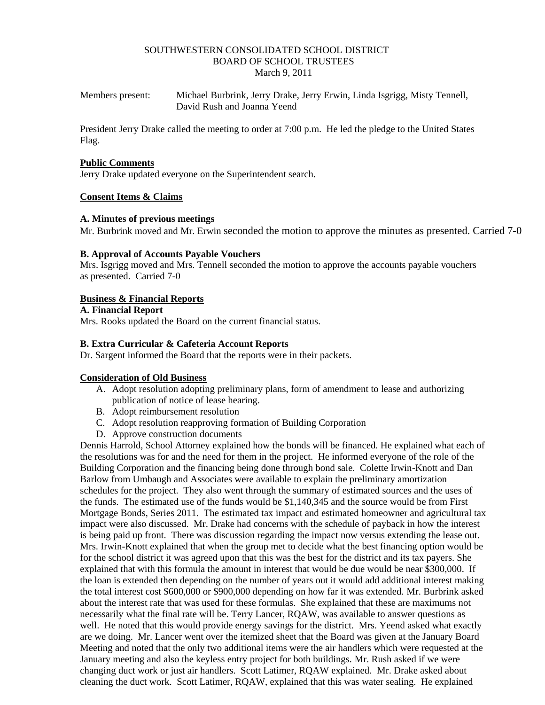### SOUTHWESTERN CONSOLIDATED SCHOOL DISTRICT BOARD OF SCHOOL TRUSTEES March 9, 2011

Members present: Michael Burbrink, Jerry Drake, Jerry Erwin, Linda Isgrigg, Misty Tennell, David Rush and Joanna Yeend

President Jerry Drake called the meeting to order at 7:00 p.m. He led the pledge to the United States Flag.

#### **Public Comments**

Jerry Drake updated everyone on the Superintendent search.

# **Consent Items & Claims**

### **A. Minutes of previous meetings**

Mr. Burbrink moved and Mr. Erwin seconded the motion to approve the minutes as presented. Carried 7-0

### **B. Approval of Accounts Payable Vouchers**

Mrs. Isgrigg moved and Mrs. Tennell seconded the motion to approve the accounts payable vouchers as presented. Carried 7-0

### **Business & Financial Reports**

### **A. Financial Report**

Mrs. Rooks updated the Board on the current financial status.

### **B. Extra Curricular & Cafeteria Account Reports**

Dr. Sargent informed the Board that the reports were in their packets.

### **Consideration of Old Business**

- A. Adopt resolution adopting preliminary plans, form of amendment to lease and authorizing publication of notice of lease hearing.
- B. Adopt reimbursement resolution
- C. Adopt resolution reapproving formation of Building Corporation
- D. Approve construction documents

Dennis Harrold, School Attorney explained how the bonds will be financed. He explained what each of the resolutions was for and the need for them in the project. He informed everyone of the role of the Building Corporation and the financing being done through bond sale. Colette Irwin-Knott and Dan Barlow from Umbaugh and Associates were available to explain the preliminary amortization schedules for the project. They also went through the summary of estimated sources and the uses of the funds. The estimated use of the funds would be \$1,140,345 and the source would be from First Mortgage Bonds, Series 2011. The estimated tax impact and estimated homeowner and agricultural tax impact were also discussed. Mr. Drake had concerns with the schedule of payback in how the interest is being paid up front. There was discussion regarding the impact now versus extending the lease out. Mrs. Irwin-Knott explained that when the group met to decide what the best financing option would be for the school district it was agreed upon that this was the best for the district and its tax payers. She explained that with this formula the amount in interest that would be due would be near \$300,000. If the loan is extended then depending on the number of years out it would add additional interest making the total interest cost \$600,000 or \$900,000 depending on how far it was extended. Mr. Burbrink asked about the interest rate that was used for these formulas. She explained that these are maximums not necessarily what the final rate will be. Terry Lancer, RQAW, was available to answer questions as well. He noted that this would provide energy savings for the district. Mrs. Yeend asked what exactly are we doing. Mr. Lancer went over the itemized sheet that the Board was given at the January Board Meeting and noted that the only two additional items were the air handlers which were requested at the January meeting and also the keyless entry project for both buildings. Mr. Rush asked if we were changing duct work or just air handlers. Scott Latimer, RQAW explained. Mr. Drake asked about cleaning the duct work. Scott Latimer, RQAW, explained that this was water sealing. He explained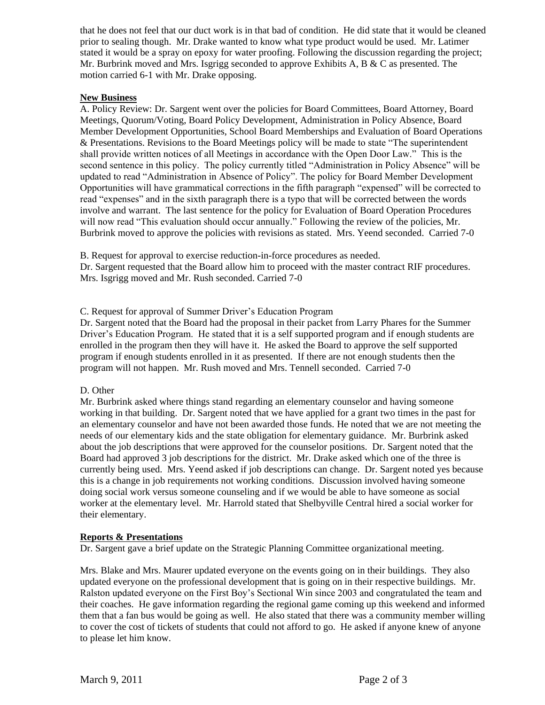that he does not feel that our duct work is in that bad of condition. He did state that it would be cleaned prior to sealing though. Mr. Drake wanted to know what type product would be used. Mr. Latimer stated it would be a spray on epoxy for water proofing. Following the discussion regarding the project; Mr. Burbrink moved and Mrs. Isgrigg seconded to approve Exhibits A, B  $\&$  C as presented. The motion carried 6-1 with Mr. Drake opposing.

# **New Business**

A. Policy Review: Dr. Sargent went over the policies for Board Committees, Board Attorney, Board Meetings, Quorum/Voting, Board Policy Development, Administration in Policy Absence, Board Member Development Opportunities, School Board Memberships and Evaluation of Board Operations & Presentations. Revisions to the Board Meetings policy will be made to state "The superintendent shall provide written notices of all Meetings in accordance with the Open Door Law." This is the second sentence in this policy. The policy currently titled "Administration in Policy Absence" will be updated to read "Administration in Absence of Policy". The policy for Board Member Development Opportunities will have grammatical corrections in the fifth paragraph "expensed" will be corrected to read "expenses" and in the sixth paragraph there is a typo that will be corrected between the words involve and warrant. The last sentence for the policy for Evaluation of Board Operation Procedures will now read "This evaluation should occur annually." Following the review of the policies, Mr. Burbrink moved to approve the policies with revisions as stated. Mrs. Yeend seconded. Carried 7-0

B. Request for approval to exercise reduction-in-force procedures as needed. Dr. Sargent requested that the Board allow him to proceed with the master contract RIF procedures. Mrs. Isgrigg moved and Mr. Rush seconded. Carried 7-0

# C. Request for approval of Summer Driver's Education Program

Dr. Sargent noted that the Board had the proposal in their packet from Larry Phares for the Summer Driver's Education Program. He stated that it is a self supported program and if enough students are enrolled in the program then they will have it. He asked the Board to approve the self supported program if enough students enrolled in it as presented. If there are not enough students then the program will not happen. Mr. Rush moved and Mrs. Tennell seconded. Carried 7-0

### D. Other

Mr. Burbrink asked where things stand regarding an elementary counselor and having someone working in that building. Dr. Sargent noted that we have applied for a grant two times in the past for an elementary counselor and have not been awarded those funds. He noted that we are not meeting the needs of our elementary kids and the state obligation for elementary guidance. Mr. Burbrink asked about the job descriptions that were approved for the counselor positions. Dr. Sargent noted that the Board had approved 3 job descriptions for the district. Mr. Drake asked which one of the three is currently being used. Mrs. Yeend asked if job descriptions can change. Dr. Sargent noted yes because this is a change in job requirements not working conditions. Discussion involved having someone doing social work versus someone counseling and if we would be able to have someone as social worker at the elementary level. Mr. Harrold stated that Shelbyville Central hired a social worker for their elementary.

### **Reports & Presentations**

Dr. Sargent gave a brief update on the Strategic Planning Committee organizational meeting.

Mrs. Blake and Mrs. Maurer updated everyone on the events going on in their buildings. They also updated everyone on the professional development that is going on in their respective buildings. Mr. Ralston updated everyone on the First Boy's Sectional Win since 2003 and congratulated the team and their coaches. He gave information regarding the regional game coming up this weekend and informed them that a fan bus would be going as well. He also stated that there was a community member willing to cover the cost of tickets of students that could not afford to go. He asked if anyone knew of anyone to please let him know.